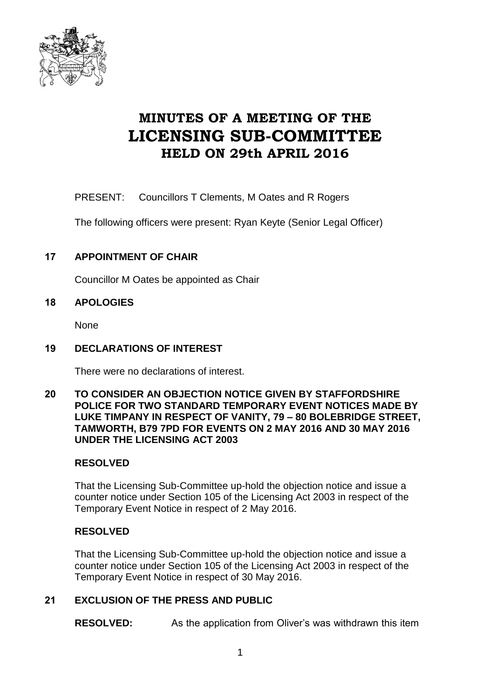

# **MINUTES OF A MEETING OF THE LICENSING SUB-COMMITTEE HELD ON 29th APRIL 2016**

PRESENT: Councillors T Clements, M Oates and R Rogers

The following officers were present: Ryan Keyte (Senior Legal Officer)

# **17 APPOINTMENT OF CHAIR**

Councillor M Oates be appointed as Chair

## **18 APOLOGIES**

None

## **19 DECLARATIONS OF INTEREST**

There were no declarations of interest.

#### **20 TO CONSIDER AN OBJECTION NOTICE GIVEN BY STAFFORDSHIRE POLICE FOR TWO STANDARD TEMPORARY EVENT NOTICES MADE BY LUKE TIMPANY IN RESPECT OF VANITY, 79 – 80 BOLEBRIDGE STREET, TAMWORTH, B79 7PD FOR EVENTS ON 2 MAY 2016 AND 30 MAY 2016 UNDER THE LICENSING ACT 2003**

# **RESOLVED**

That the Licensing Sub-Committee up-hold the objection notice and issue a counter notice under Section 105 of the Licensing Act 2003 in respect of the Temporary Event Notice in respect of 2 May 2016.

# **RESOLVED**

That the Licensing Sub-Committee up-hold the objection notice and issue a counter notice under Section 105 of the Licensing Act 2003 in respect of the Temporary Event Notice in respect of 30 May 2016.

#### **21 EXCLUSION OF THE PRESS AND PUBLIC**

**RESOLVED:** As the application from Oliver's was withdrawn this item